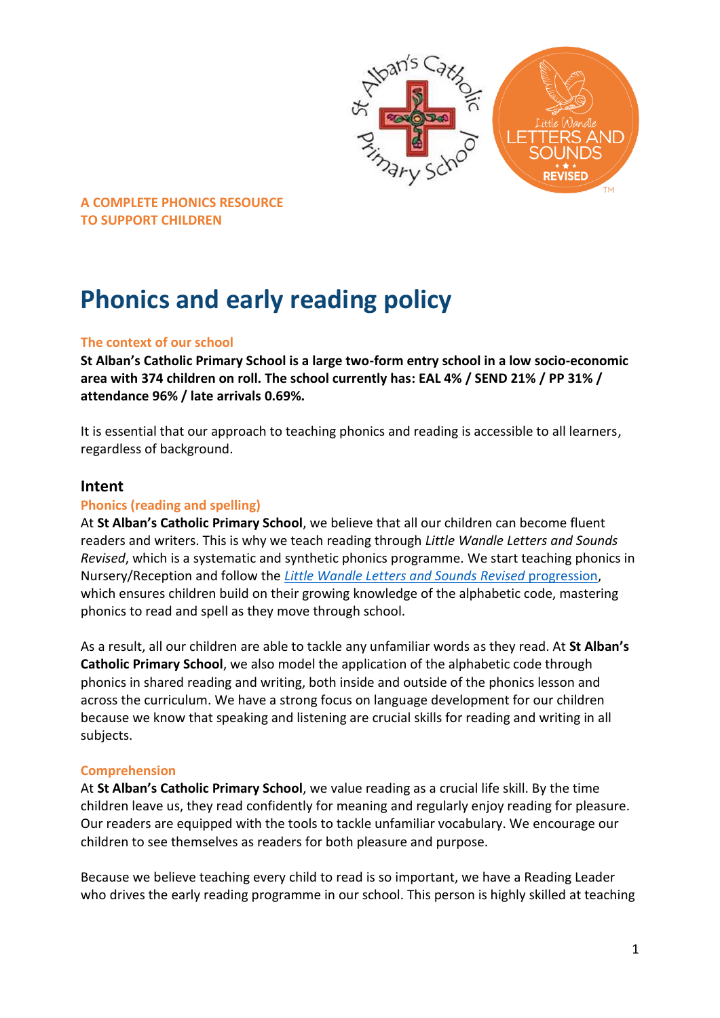

# **Phonics and early reading policy**

## **The context of our school**

**St Alban's Catholic Primary School is a large two-form entry school in a low socio-economic area with 374 children on roll. The school currently has: EAL 4% / SEND 21% / PP 31% / attendance 96% / late arrivals 0.69%.**

It is essential that our approach to teaching phonics and reading is accessible to all learners, regardless of background.

## **Intent**

#### **Phonics (reading and spelling)**

At **St Alban's Catholic Primary School**, we believe that all our children can become fluent readers and writers. This is why we teach reading through *Little Wandle Letters and Sounds Revised*, which is a systematic and synthetic phonics programme. We start teaching phonics in Nursery/Reception and follow the *[Little Wandle Letters and Sounds Revised](https://www.littlewandlelettersandsounds.org.uk/wp-content/uploads/2021/06/Programme-Overview_Reception-and-Year-1.pdf)* progression, which ensures children build on their growing knowledge of the alphabetic code, mastering phonics to read and spell as they move through school.

As a result, all our children are able to tackle any unfamiliar words as they read. At **St Alban's Catholic Primary School**, we also model the application of the alphabetic code through phonics in shared reading and writing, both inside and outside of the phonics lesson and across the curriculum. We have a strong focus on language development for our children because we know that speaking and listening are crucial skills for reading and writing in all subjects.

#### **Comprehension**

At **St Alban's Catholic Primary School**, we value reading as a crucial life skill. By the time children leave us, they read confidently for meaning and regularly enjoy reading for pleasure. Our readers are equipped with the tools to tackle unfamiliar vocabulary. We encourage our children to see themselves as readers for both pleasure and purpose.

Because we believe teaching every child to read is so important, we have a Reading Leader who drives the early reading programme in our school. This person is highly skilled at teaching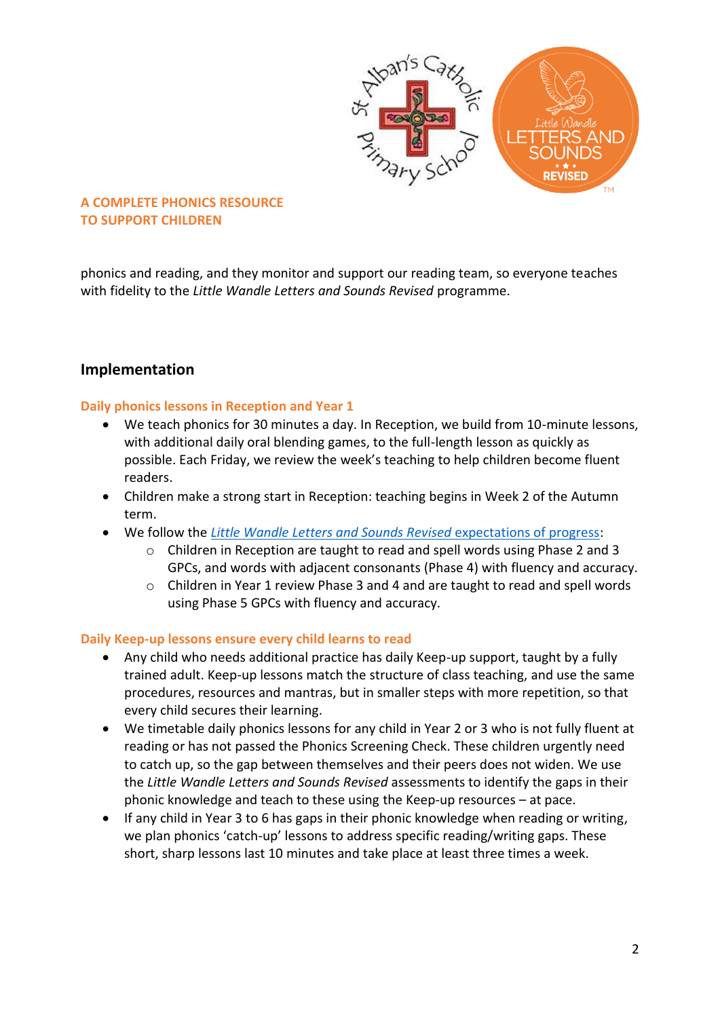

phonics and reading, and they monitor and support our reading team, so everyone teaches with fidelity to the *Little Wandle Letters and Sounds Revised* programme.

# **Implementation**

#### **Daily phonics lessons in Reception and Year 1**

- We teach phonics for 30 minutes a day. In Reception, we build from 10-minute lessons, with additional daily oral blending games, to the full-length lesson as quickly as possible. Each Friday, we review the week's teaching to help children become fluent readers.
- Children make a strong start in Reception: teaching begins in Week 2 of the Autumn term.
- We follow the *[Little Wandle Letters and Sounds Revised](https://www.littlewandlelettersandsounds.org.uk/wp-content/uploads/2021/06/Programme-Overview_Reception-and-Year-1.pdf)* expectations of progress:
	- o Children in Reception are taught to read and spell words using Phase 2 and 3 GPCs, and words with adjacent consonants (Phase 4) with fluency and accuracy.
	- $\circ$  Children in Year 1 review Phase 3 and 4 and are taught to read and spell words using Phase 5 GPCs with fluency and accuracy.

#### **Daily Keep-up lessons ensure every child learns to read**

- Any child who needs additional practice has daily Keep-up support, taught by a fully trained adult. Keep-up lessons match the structure of class teaching, and use the same procedures, resources and mantras, but in smaller steps with more repetition, so that every child secures their learning.
- We timetable daily phonics lessons for any child in Year 2 or 3 who is not fully fluent at reading or has not passed the Phonics Screening Check. These children urgently need to catch up, so the gap between themselves and their peers does not widen. We use the *Little Wandle Letters and Sounds Revised* assessments to identify the gaps in their phonic knowledge and teach to these using the Keep-up resources – at pace.
- If any child in Year 3 to 6 has gaps in their phonic knowledge when reading or writing, we plan phonics 'catch-up' lessons to address specific reading/writing gaps. These short, sharp lessons last 10 minutes and take place at least three times a week.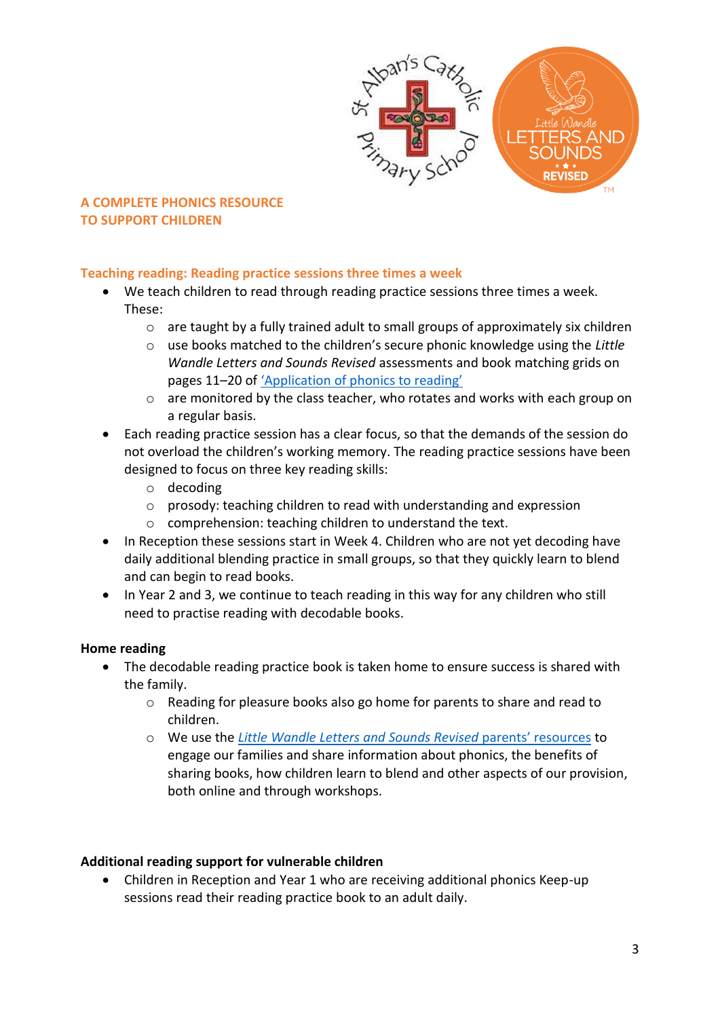

# **Teaching reading: Reading practice sessions three times a week**

- We teach children to read through reading practice sessions three times a week. These:
	- $\circ$  are taught by a fully trained adult to small groups of approximately six children
	- o use books matched to the children's secure phonic knowledge using the *Little Wandle Letters and Sounds Revised* assessments and book matching grids on pages 11–20 of ['Application of phonics to reading'](https://www.littlewandlelettersandsounds.org.uk/wp-content/uploads/2021/03/LS-KEY-GUIDANCE-APPLICATION-OF-PHONICS-FINAL-1.pdf)
	- o are monitored by the class teacher, who rotates and works with each group on a regular basis.
- Each reading practice session has a clear focus, so that the demands of the session do not overload the children's working memory. The reading practice sessions have been designed to focus on three key reading skills:
	- o decoding
	- o prosody: teaching children to read with understanding and expression
	- o comprehension: teaching children to understand the text.
- In Reception these sessions start in Week 4. Children who are not yet decoding have daily additional blending practice in small groups, so that they quickly learn to blend and can begin to read books.
- In Year 2 and 3, we continue to teach reading in this way for any children who still need to practise reading with decodable books.

# **Home reading**

- The decodable reading practice book is taken home to ensure success is shared with the family.
	- $\circ$  Reading for pleasure books also go home for parents to share and read to children.
	- o We use the *Little [Wandle Letters and Sounds Revised](https://www.littlewandlelettersandsounds.org.uk/resources/for-parents/)* parents' resources to engage our families and share information about phonics, the benefits of sharing books, how children learn to blend and other aspects of our provision, both online and through workshops.

# **Additional reading support for vulnerable children**

 Children in Reception and Year 1 who are receiving additional phonics Keep-up sessions read their reading practice book to an adult daily.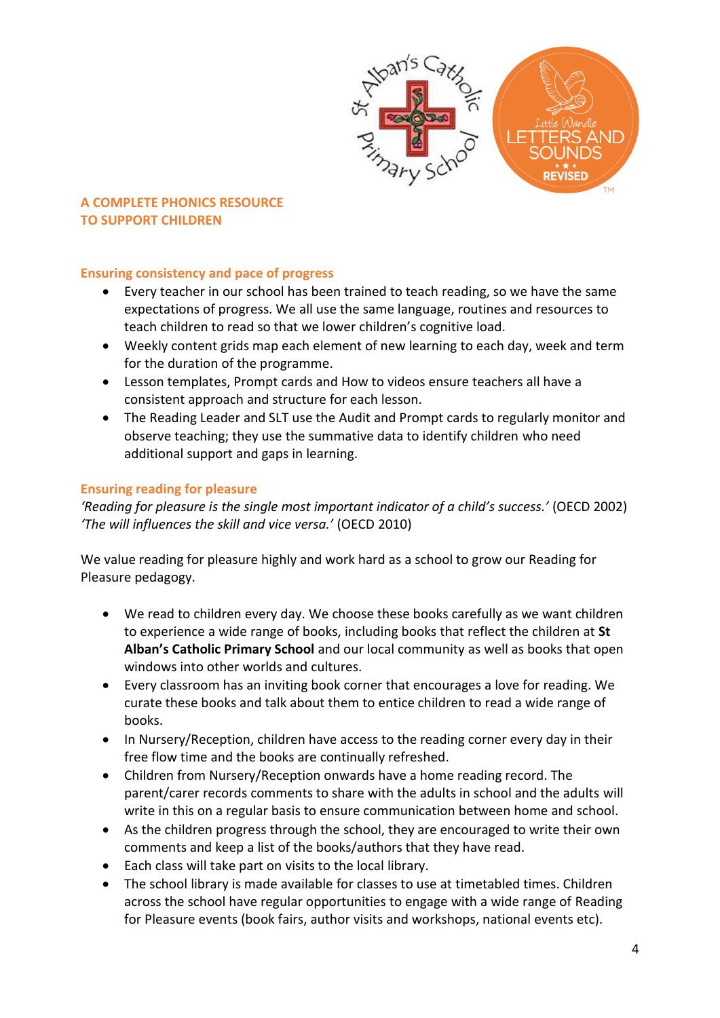

## **Ensuring consistency and pace of progress**

- Every teacher in our school has been trained to teach reading, so we have the same expectations of progress. We all use the same language, routines and resources to teach children to read so that we lower children's cognitive load.
- Weekly content grids map each element of new learning to each day, week and term for the duration of the programme.
- Lesson templates, Prompt cards and How to videos ensure teachers all have a consistent approach and structure for each lesson.
- The Reading Leader and SLT use the Audit and Prompt cards to regularly monitor and observe teaching; they use the summative data to identify children who need additional support and gaps in learning.

## **Ensuring reading for pleasure**

*'Reading for pleasure is the single most important indicator of a child's success.'* (OECD 2002) *'The will influences the skill and vice versa.'* (OECD 2010)

We value reading for pleasure highly and work hard as a school to grow our Reading for Pleasure pedagogy.

- We read to children every day. We choose these books carefully as we want children to experience a wide range of books, including books that reflect the children at **St Alban's Catholic Primary School** and our local community as well as books that open windows into other worlds and cultures.
- Every classroom has an inviting book corner that encourages a love for reading. We curate these books and talk about them to entice children to read a wide range of books.
- In Nursery/Reception, children have access to the reading corner every day in their free flow time and the books are continually refreshed.
- Children from Nursery/Reception onwards have a home reading record. The parent/carer records comments to share with the adults in school and the adults will write in this on a regular basis to ensure communication between home and school.
- As the children progress through the school, they are encouraged to write their own comments and keep a list of the books/authors that they have read.
- Each class will take part on visits to the local library.
- The school library is made available for classes to use at timetabled times. Children across the school have regular opportunities to engage with a wide range of Reading for Pleasure events (book fairs, author visits and workshops, national events etc).